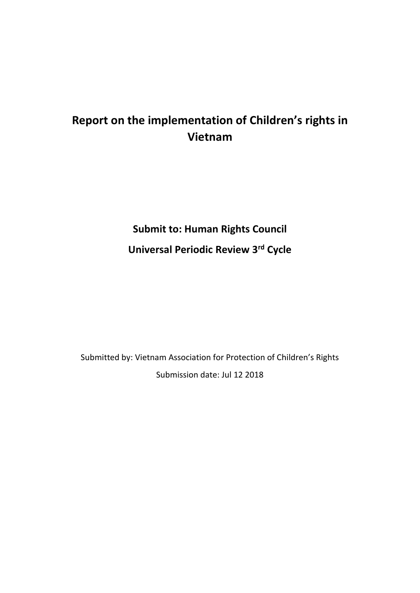# **Report on the implementation of Children's rights in Vietnam**

# **Submit to: Human Rights Council Universal Periodic Review 3rd Cycle**

Submitted by: Vietnam Association for Protection of Children's Rights Submission date: Jul 12 2018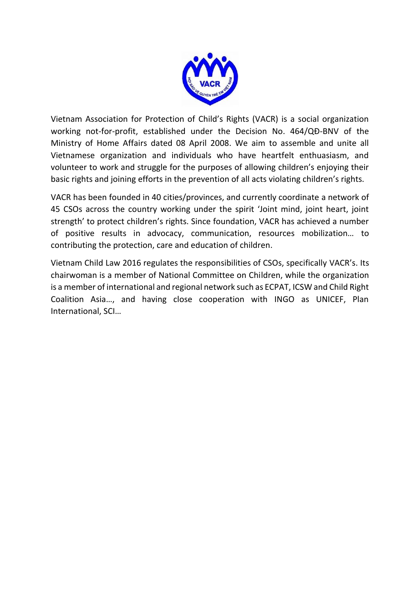

Vietnam Association for Protection of Child's Rights (VACR) is a social organization working not-for-profit, established under the Decision No. 464/QĐ-BNV of the Ministry of Home Affairs dated 08 April 2008. We aim to assemble and unite all Vietnamese organization and individuals who have heartfelt enthuasiasm, and volunteer to work and struggle for the purposes of allowing children's enjoying their basic rights and joining efforts in the prevention of all acts violating children's rights.

VACR has been founded in 40 cities/provinces, and currently coordinate a network of 45 CSOs across the country working under the spirit 'Joint mind, joint heart, joint strength' to protect children's rights. Since foundation, VACR has achieved a number of positive results in advocacy, communication, resources mobilization… to contributing the protection, care and education of children.

Vietnam Child Law 2016 regulates the responsibilities of CSOs, specifically VACR's. Its chairwoman is a member of National Committee on Children, while the organization is a member of international and regional network such as ECPAT, ICSW and Child Right Coalition Asia…, and having close cooperation with INGO as UNICEF, Plan International, SCI…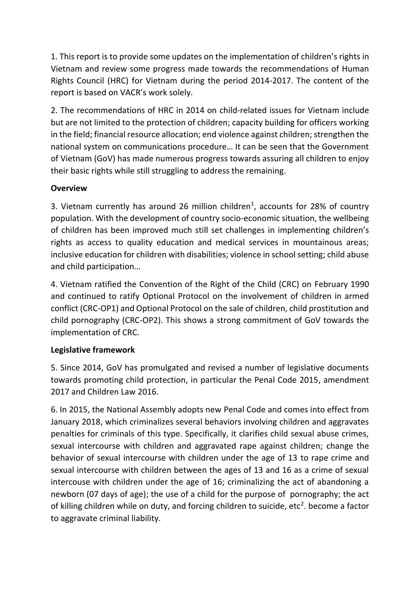1. This report is to provide some updates on the implementation of children's rights in Vietnam and review some progress made towards the recommendations of Human Rights Council (HRC) for Vietnam during the period 2014-2017. The content of the report is based on VACR's work solely.

2. The recommendations of HRC in 2014 on child-related issues for Vietnam include but are not limited to the protection of children; capacity building for officers working in the field; financial resource allocation; end violence against children; strengthen the national system on communications procedure… It can be seen that the Government of Vietnam (GoV) has made numerous progress towards assuring all children to enjoy their basic rights while still struggling to address the remaining.

# **Overview**

3. Vietnam currently has around 26 million children<sup>1</sup>, accounts for 28% of country population. With the development of country socio-economic situation, the wellbeing of children has been improved much still set challenges in implementing children's rights as access to quality education and medical services in mountainous areas; inclusive education for children with disabilities; violence in school setting; child abuse and child participation…

4. Vietnam ratified the Convention of the Right of the Child (CRC) on February 1990 and continued to ratify Optional Protocol on the involvement of children in armed conflict (CRC-OP1) and Optional Protocol on the sale of children, child prostitution and child pornography (CRC-OP2). This shows a strong commitment of GoV towards the implementation of CRC.

# **Legislative framework**

5. Since 2014, GoV has promulgated and revised a number of legislative documents towards promoting child protection, in particular the Penal Code 2015, amendment 2017 and Children Law 2016.

6. In 2015, the National Assembly adopts new Penal Code and comes into effect from January 2018, which criminalizes several behaviors involving children and aggravates penalties for criminals of this type. Specifically, it clarifies child sexual abuse crimes, sexual intercourse with children and aggravated rape against children; change the behavior of sexual intercourse with children under the age of 13 to rape crime and sexual intercourse with children between the ages of 13 and 16 as a crime of sexual intercouse with children under the age of 16; criminalizing the act of abandoning a newborn (07 days of age); the use of a child for the purpose of pornography; the act of killing children while on duty, and forcing children to suicide, etc<sup>2</sup>. become a factor to aggravate criminal liability.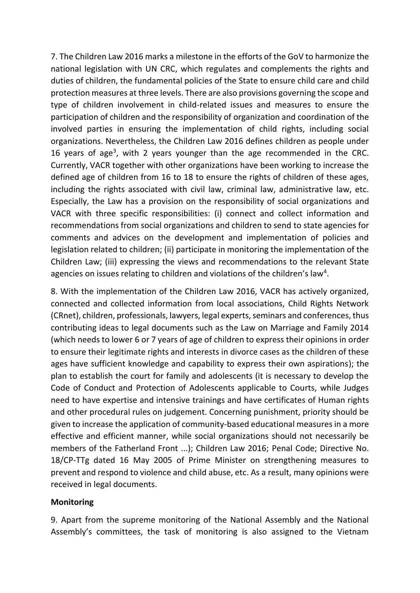7. The Children Law 2016 marks a milestone in the efforts of the GoV to harmonize the national legislation with UN CRC, which regulates and complements the rights and duties of children, the fundamental policies of the State to ensure child care and child protection measures at three levels. There are also provisions governing the scope and type of children involvement in child-related issues and measures to ensure the participation of children and the responsibility of organization and coordination of the involved parties in ensuring the implementation of child rights, including social organizations. Nevertheless, the Children Law 2016 defines children as people under 16 years of age<sup>3</sup>, with 2 years younger than the age recommended in the CRC. Currently, VACR together with other organizations have been working to increase the defined age of children from 16 to 18 to ensure the rights of children of these ages, including the rights associated with civil law, criminal law, administrative law, etc. Especially, the Law has a provision on the responsibility of social organizations and VACR with three specific responsibilities: (i) connect and collect information and recommendations from social organizations and children to send to state agencies for comments and advices on the development and implementation of policies and legislation related to children; (ii) participate in monitoring the implementation of the Children Law; (iii) expressing the views and recommendations to the relevant State agencies on issues relating to children and violations of the children's law<sup>4</sup>.

8. With the implementation of the Children Law 2016, VACR has actively organized, connected and collected information from local associations, Child Rights Network (CRnet), children, professionals, lawyers, legal experts, seminars and conferences, thus contributing ideas to legal documents such as the Law on Marriage and Family 2014 (which needs to lower 6 or 7 years of age of children to express their opinions in order to ensure their legitimate rights and interests in divorce cases as the children of these ages have sufficient knowledge and capability to express their own aspirations); the plan to establish the court for family and adolescents (it is necessary to develop the Code of Conduct and Protection of Adolescents applicable to Courts, while Judges need to have expertise and intensive trainings and have certificates of Human rights and other procedural rules on judgement. Concerning punishment, priority should be given to increase the application of community-based educational measures in a more effective and efficient manner, while social organizations should not necessarily be members of the Fatherland Front ...); Children Law 2016; Penal Code; Directive No. 18/CP-TTg dated 16 May 2005 of Prime Minister on strengthening measures to prevent and respond to violence and child abuse, etc. As a result, many opinions were received in legal documents.

#### **Monitoring**

9. Apart from the supreme monitoring of the National Assembly and the National Assembly's committees, the task of monitoring is also assigned to the Vietnam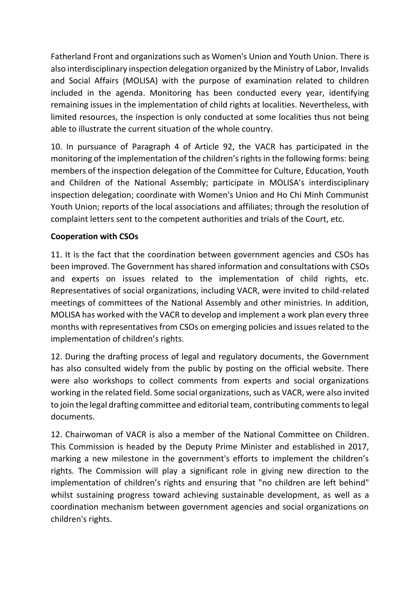Fatherland Front and organizations such as Women's Union and Youth Union. There is also interdisciplinary inspection delegation organized by the Ministry of Labor, Invalids and Social Affairs (MOLISA) with the purpose of examination related to children included in the agenda. Monitoring has been conducted every year, identifying remaining issues in the implementation of child rights at localities. Nevertheless, with limited resources, the inspection is only conducted at some localities thus not being able to illustrate the current situation of the whole country.

10. In pursuance of Paragraph 4 of Article 92, the VACR has participated in the monitoring of the implementation of the children's rights in the following forms: being members of the inspection delegation of the Committee for Culture, Education, Youth and Children of the National Assembly; participate in MOLISA's interdisciplinary inspection delegation; coordinate with Women's Union and Ho Chi Minh Communist Youth Union; reports of the local associations and affiliates; through the resolution of complaint letters sent to the competent authorities and trials of the Court, etc.

### **Cooperation with CSOs**

11. It is the fact that the coordination between government agencies and CSOs has been improved. The Government has shared information and consultations with CSOs and experts on issues related to the implementation of child rights, etc. Representatives of social organizations, including VACR, were invited to child-related meetings of committees of the National Assembly and other ministries. In addition, MOLISA has worked with the VACR to develop and implement a work plan every three months with representatives from CSOs on emerging policies and issues related to the implementation of children's rights.

12. During the drafting process of legal and regulatory documents, the Government has also consulted widely from the public by posting on the official website. There were also workshops to collect comments from experts and social organizations working in the related field. Some social organizations, such as VACR, were also invited to join the legal drafting committee and editorial team, contributing comments to legal documents.

12. Chairwoman of VACR is also a member of the National Committee on Children. This Commission is headed by the Deputy Prime Minister and established in 2017, marking a new milestone in the government's efforts to implement the children's rights. The Commission will play a significant role in giving new direction to the implementation of children's rights and ensuring that "no children are left behind" whilst sustaining progress toward achieving sustainable development, as well as a coordination mechanism between government agencies and social organizations on children's rights.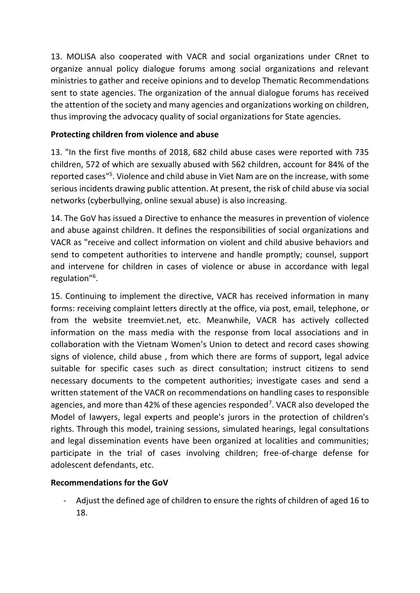13. MOLISA also cooperated with VACR and social organizations under CRnet to organize annual policy dialogue forums among social organizations and relevant ministries to gather and receive opinions and to develop Thematic Recommendations sent to state agencies. The organization of the annual dialogue forums has received the attention of the society and many agencies and organizations working on children, thus improving the advocacy quality of social organizations for State agencies.

# **Protecting children from violence and abuse**

13. "In the first five months of 2018, 682 child abuse cases were reported with 735 children, 572 of which are sexually abused with 562 children, account for 84% of the reported cases"<sup>5</sup>. Violence and child abuse in Viet Nam are on the increase, with some serious incidents drawing public attention. At present, the risk of child abuse via social networks (cyberbullying, online sexual abuse) is also increasing.

14. The GoV has issued a Directive to enhance the measures in prevention of violence and abuse against children. It defines the responsibilities of social organizations and VACR as "receive and collect information on violent and child abusive behaviors and send to competent authorities to intervene and handle promptly; counsel, support and intervene for children in cases of violence or abuse in accordance with legal regulation"<sup>6</sup> .

15. Continuing to implement the directive, VACR has received information in many forms: receiving complaint letters directly at the office, via post, email, telephone, or from the website treemviet.net, etc. Meanwhile, VACR has actively collected information on the mass media with the response from local associations and in collaboration with the Vietnam Women's Union to detect and record cases showing signs of violence, child abuse , from which there are forms of support, legal advice suitable for specific cases such as direct consultation; instruct citizens to send necessary documents to the competent authorities; investigate cases and send a written statement of the VACR on recommendations on handling cases to responsible agencies, and more than 42% of these agencies responded<sup>7</sup>. VACR also developed the Model of lawyers, legal experts and people's jurors in the protection of children's rights. Through this model, training sessions, simulated hearings, legal consultations and legal dissemination events have been organized at localities and communities; participate in the trial of cases involving children; free-of-charge defense for adolescent defendants, etc.

# **Recommendations for the GoV**

- Adjust the defined age of children to ensure the rights of children of aged 16 to 18.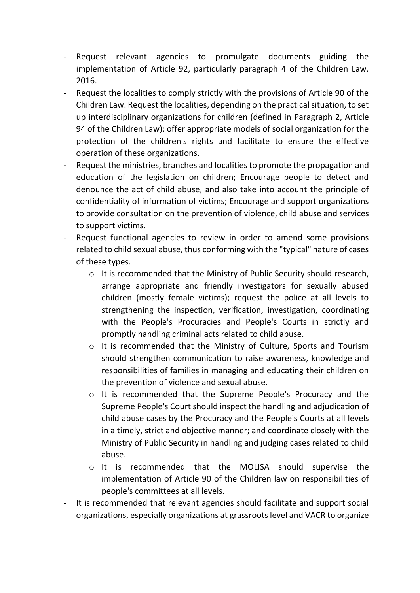- Request relevant agencies to promulgate documents guiding the implementation of Article 92, particularly paragraph 4 of the Children Law, 2016.
- Request the localities to comply strictly with the provisions of Article 90 of the Children Law. Request the localities, depending on the practical situation, to set up interdisciplinary organizations for children (defined in Paragraph 2, Article 94 of the Children Law); offer appropriate models of social organization for the protection of the children's rights and facilitate to ensure the effective operation of these organizations.
- Request the ministries, branches and localities to promote the propagation and education of the legislation on children; Encourage people to detect and denounce the act of child abuse, and also take into account the principle of confidentiality of information of victims; Encourage and support organizations to provide consultation on the prevention of violence, child abuse and services to support victims.
- Request functional agencies to review in order to amend some provisions related to child sexual abuse, thus conforming with the "typical" nature of cases of these types.
	- o It is recommended that the Ministry of Public Security should research, arrange appropriate and friendly investigators for sexually abused children (mostly female victims); request the police at all levels to strengthening the inspection, verification, investigation, coordinating with the People's Procuracies and People's Courts in strictly and promptly handling criminal acts related to child abuse.
	- o It is recommended that the Ministry of Culture, Sports and Tourism should strengthen communication to raise awareness, knowledge and responsibilities of families in managing and educating their children on the prevention of violence and sexual abuse.
	- o It is recommended that the Supreme People's Procuracy and the Supreme People's Court should inspect the handling and adjudication of child abuse cases by the Procuracy and the People's Courts at all levels in a timely, strict and objective manner; and coordinate closely with the Ministry of Public Security in handling and judging cases related to child abuse.
	- o It is recommended that the MOLISA should supervise the implementation of Article 90 of the Children law on responsibilities of people's committees at all levels.
- It is recommended that relevant agencies should facilitate and support social organizations, especially organizations at grassroots level and VACR to organize